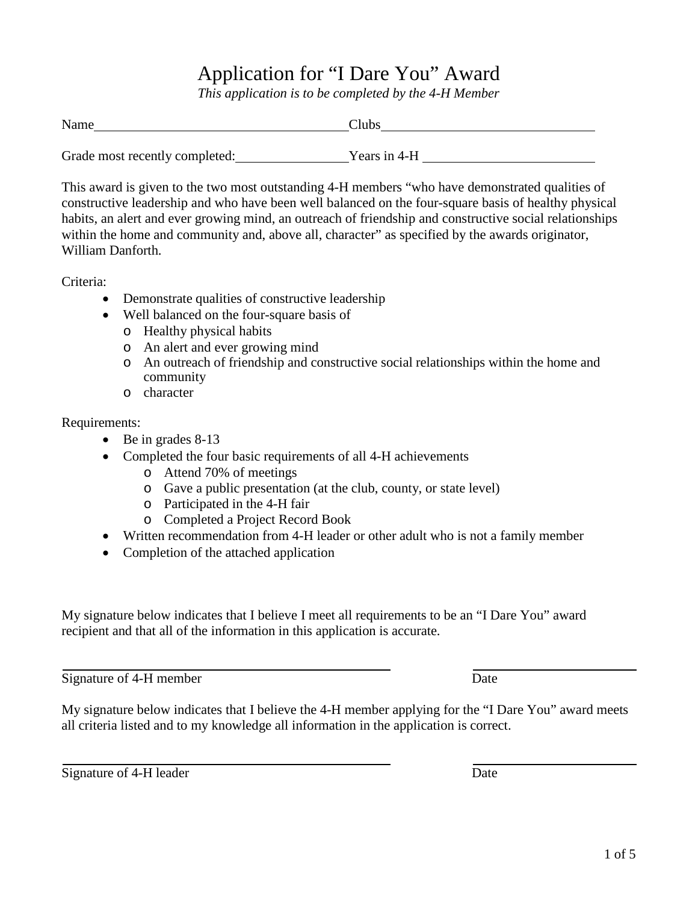## Application for "I Dare You" Award

*This application is to be completed by the 4-H Member*

| Name                           | Clubs        |  |
|--------------------------------|--------------|--|
|                                |              |  |
| Grade most recently completed: | Years in 4-H |  |

This award is given to the two most outstanding 4-H members "who have demonstrated qualities of constructive leadership and who have been well balanced on the four-square basis of healthy physical habits, an alert and ever growing mind, an outreach of friendship and constructive social relationships within the home and community and, above all, character" as specified by the awards originator, William Danforth.

Criteria:

- Demonstrate qualities of constructive leadership
- Well balanced on the four-square basis of
	- o Healthy physical habits
	- o An alert and ever growing mind
	- o An outreach of friendship and constructive social relationships within the home and community
	- o character

Requirements:

- Be in grades 8-13
- Completed the four basic requirements of all 4-H achievements
	- o Attend 70% of meetings
	- o Gave a public presentation (at the club, county, or state level)
	- o Participated in the 4-H fair
	- o Completed a Project Record Book
- Written recommendation from 4-H leader or other adult who is not a family member
- Completion of the attached application

My signature below indicates that I believe I meet all requirements to be an "I Dare You" award recipient and that all of the information in this application is accurate.

Signature of 4-H member Date

My signature below indicates that I believe the 4-H member applying for the "I Dare You" award meets all criteria listed and to my knowledge all information in the application is correct.

Signature of 4-H leader Date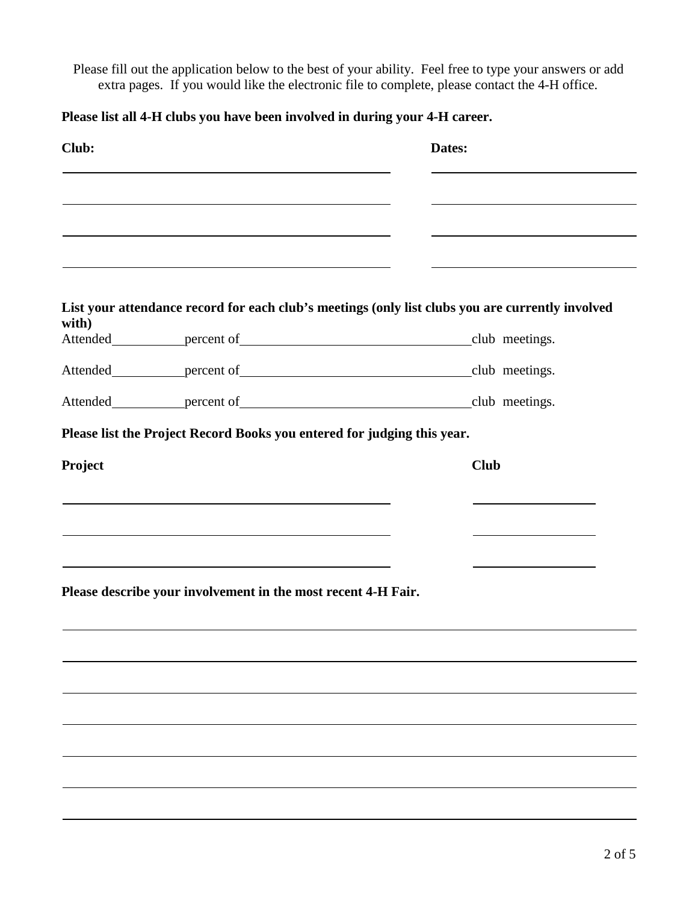Please fill out the application below to the best of your ability. Feel free to type your answers or add extra pages. If you would like the electronic file to complete, please contact the 4-H office.

**Please list all 4-H clubs you have been involved in during your 4-H career.**

| Club:   |                                                                                                                                                                                                                               | Dates:                                                                                           |
|---------|-------------------------------------------------------------------------------------------------------------------------------------------------------------------------------------------------------------------------------|--------------------------------------------------------------------------------------------------|
|         |                                                                                                                                                                                                                               |                                                                                                  |
|         | the control of the control of the control of the control of the control of the control of the control of the control of the control of the control of the control of the control of the control of the control of the control | the control of the control of the control of the control of the control of                       |
| with)   |                                                                                                                                                                                                                               | List your attendance record for each club's meetings (only list clubs you are currently involved |
|         |                                                                                                                                                                                                                               |                                                                                                  |
|         |                                                                                                                                                                                                                               |                                                                                                  |
|         |                                                                                                                                                                                                                               |                                                                                                  |
|         | Please list the Project Record Books you entered for judging this year.                                                                                                                                                       |                                                                                                  |
| Project |                                                                                                                                                                                                                               | <b>Club</b>                                                                                      |
|         | the control of the control of the control of the control of the control of the control of                                                                                                                                     |                                                                                                  |
|         | the control of the control of the control of the control of the control of the control of the control of the control of the control of the control of the control of the control of the control of the control of the control |                                                                                                  |
|         | and the control of the control of the control of the control of the control of the control of the control of the                                                                                                              |                                                                                                  |
|         | Please describe your involvement in the most recent 4-H Fair.                                                                                                                                                                 |                                                                                                  |
|         |                                                                                                                                                                                                                               |                                                                                                  |
|         |                                                                                                                                                                                                                               |                                                                                                  |
|         |                                                                                                                                                                                                                               |                                                                                                  |
|         |                                                                                                                                                                                                                               |                                                                                                  |
|         |                                                                                                                                                                                                                               |                                                                                                  |
|         |                                                                                                                                                                                                                               |                                                                                                  |
|         |                                                                                                                                                                                                                               |                                                                                                  |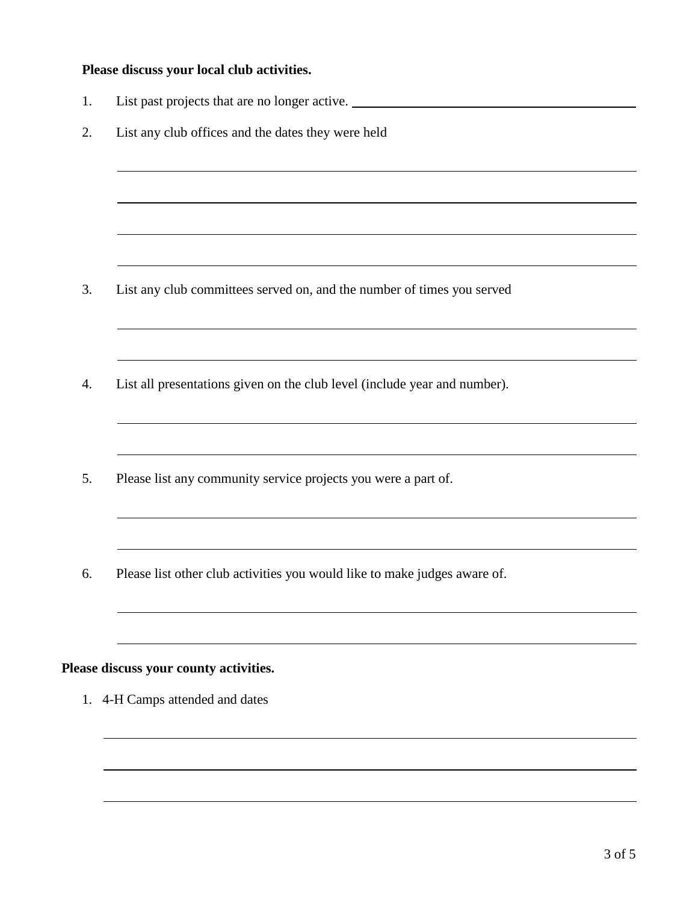## **Please discuss your local club activities.**

1. List past projects that are no longer active. 2. List any club offices and the dates they were held 3. List any club committees served on, and the number of times you served 4. List all presentations given on the club level (include year and number). 5. Please list any community service projects you were a part of. 6. Please list other club activities you would like to make judges aware of. **Please discuss your county activities.** 1. 4-H Camps attended and dates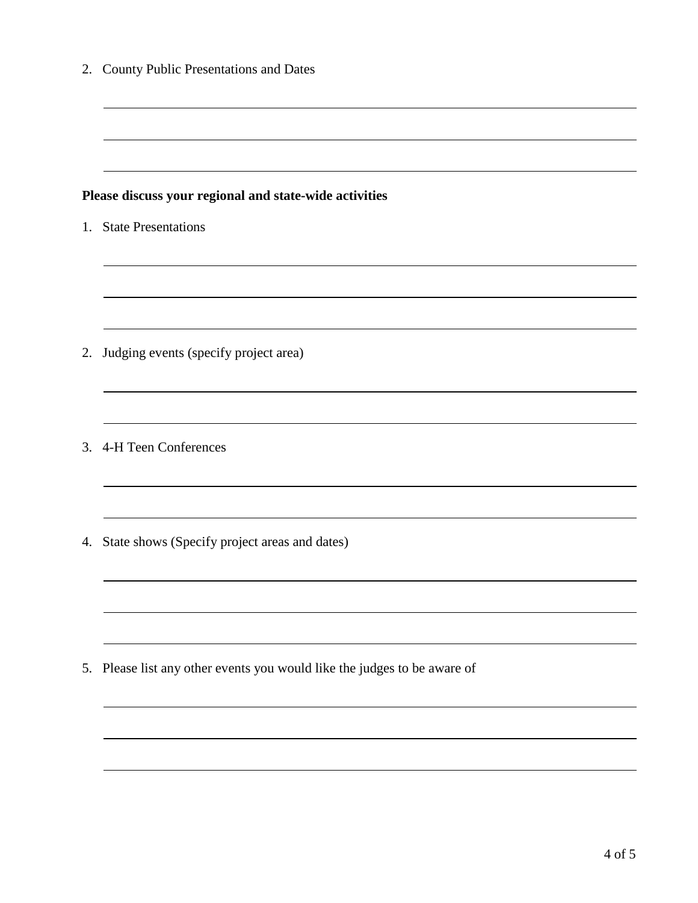|    | 2. County Public Presentations and Dates                                 |
|----|--------------------------------------------------------------------------|
|    |                                                                          |
|    | Please discuss your regional and state-wide activities                   |
|    | 1. State Presentations                                                   |
|    |                                                                          |
|    |                                                                          |
| 2. | Judging events (specify project area)                                    |
|    |                                                                          |
|    | 3. 4-H Teen Conferences                                                  |
|    |                                                                          |
| 4. | State shows (Specify project areas and dates)                            |
|    |                                                                          |
|    |                                                                          |
|    | 5. Please list any other events you would like the judges to be aware of |
|    |                                                                          |